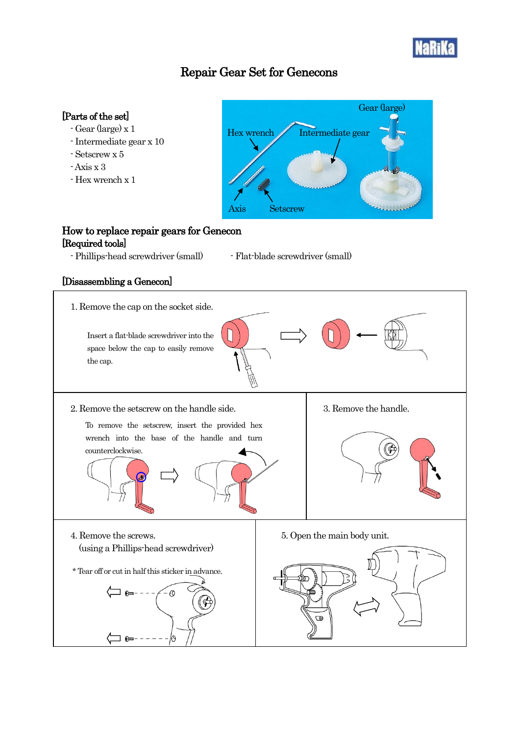

# Repair Gear Set for Genecons

## [Parts of the set]

- Gear (large) x 1
- Intermediate gear x 10
- Setscrew x 5
- -Axis x 3
- Hex wrench x 1



#### How to replace repair gears for Genecon [Required tools]

- Phillips-head screwdriver (small) Flat-blade screwdriver (small)
- 

## [Disassembling a Genecon]